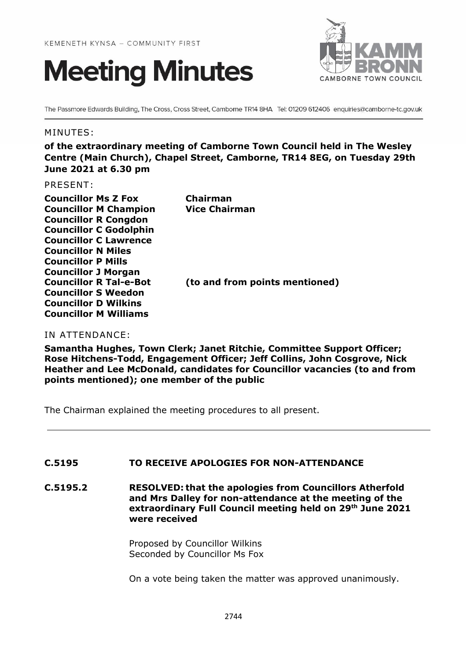



The Passmore Edwards Building, The Cross, Cross Street, Camborne TR14 8HA Tel: 01209 612406 enquiries@camborne-tc.gov.uk

#### MINUTES:

**of the extraordinary meeting of Camborne Town Council held in The Wesley Centre (Main Church), Chapel Street, Camborne, TR14 8EG, on Tuesday 29th June 2021 at 6.30 pm**

PRESENT:

| <b>Councillor Ms Z Fox</b>    | Chairman                       |
|-------------------------------|--------------------------------|
| <b>Councillor M Champion</b>  | <b>Vice Chairman</b>           |
| <b>Councillor R Congdon</b>   |                                |
| <b>Councillor C Godolphin</b> |                                |
| <b>Councillor C Lawrence</b>  |                                |
| <b>Councillor N Miles</b>     |                                |
| <b>Councillor P Mills</b>     |                                |
| <b>Councillor J Morgan</b>    |                                |
| <b>Councillor R Tal-e-Bot</b> | (to and from points mentioned) |
| <b>Councillor S Weedon</b>    |                                |
| <b>Councillor D Wilkins</b>   |                                |
| <b>Councillor M Williams</b>  |                                |

#### IN ATTENDANCE:

**Samantha Hughes, Town Clerk; Janet Ritchie, Committee Support Officer; Rose Hitchens-Todd, Engagement Officer; Jeff Collins, John Cosgrove, Nick Heather and Lee McDonald, candidates for Councillor vacancies (to and from points mentioned); one member of the public**

The Chairman explained the meeting procedures to all present.

## **C.5195 TO RECEIVE APOLOGIES FOR NON-ATTENDANCE**

**C.5195.2 RESOLVED: that the apologies from Councillors Atherfold and Mrs Dalley for non-attendance at the meeting of the extraordinary Full Council meeting held on 29th June 2021 were received**

> Proposed by Councillor Wilkins Seconded by Councillor Ms Fox

On a vote being taken the matter was approved unanimously.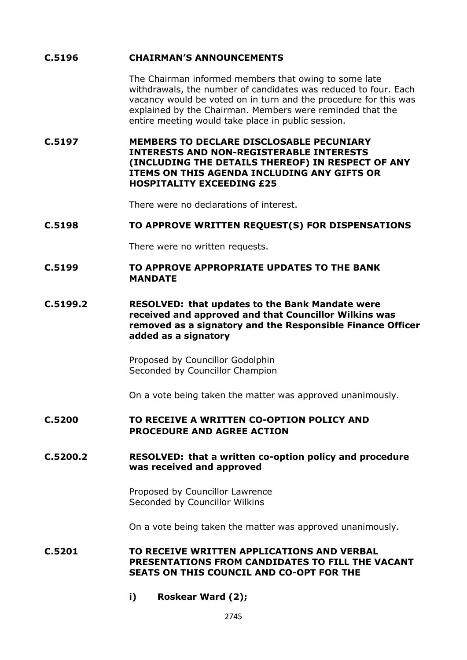## **C.5196 CHAIRMAN'S ANNOUNCEMENTS**

The Chairman informed members that owing to some late withdrawals, the number of candidates was reduced to four. Each vacancy would be voted on in turn and the procedure for this was explained by the Chairman. Members were reminded that the entire meeting would take place in public session.

**C.5197 MEMBERS TO DECLARE DISCLOSABLE PECUNIARY INTERESTS AND NON-REGISTERABLE INTERESTS (INCLUDING THE DETAILS THEREOF) IN RESPECT OF ANY ITEMS ON THIS AGENDA INCLUDING ANY GIFTS OR HOSPITALITY EXCEEDING £25**

There were no declarations of interest.

#### **C.5198 TO APPROVE WRITTEN REQUEST(S) FOR DISPENSATIONS**

There were no written requests.

#### **C.5199 TO APPROVE APPROPRIATE UPDATES TO THE BANK MANDATE**

**C.5199.2 RESOLVED: that updates to the Bank Mandate were received and approved and that Councillor Wilkins was removed as a signatory and the Responsible Finance Officer added as a signatory** 

> Proposed by Councillor Godolphin Seconded by Councillor Champion

On a vote being taken the matter was approved unanimously.

## **C.5200 TO RECEIVE A WRITTEN CO-OPTION POLICY AND PROCEDURE AND AGREE ACTION**

#### **C.5200.2 RESOLVED: that a written co-option policy and procedure was received and approved**

Proposed by Councillor Lawrence Seconded by Councillor Wilkins

On a vote being taken the matter was approved unanimously.

**C.5201 TO RECEIVE WRITTEN APPLICATIONS AND VERBAL PRESENTATIONS FROM CANDIDATES TO FILL THE VACANT SEATS ON THIS COUNCIL AND CO-OPT FOR THE**

**i) Roskear Ward (2);**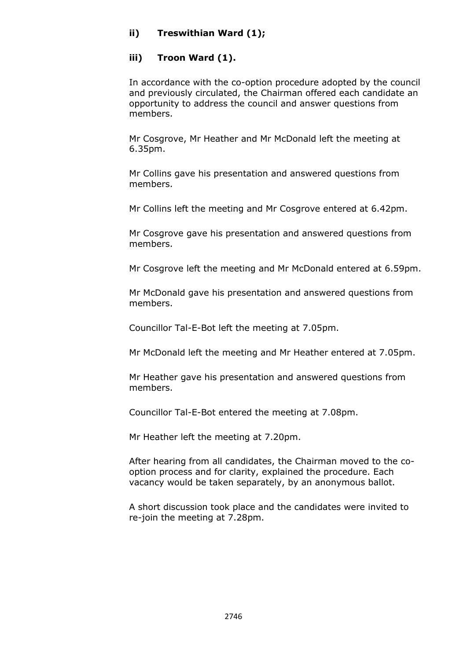# **ii) Treswithian Ward (1);**

# **iii) Troon Ward (1).**

In accordance with the co-option procedure adopted by the council and previously circulated, the Chairman offered each candidate an opportunity to address the council and answer questions from members.

Mr Cosgrove, Mr Heather and Mr McDonald left the meeting at 6.35pm.

Mr Collins gave his presentation and answered questions from members.

Mr Collins left the meeting and Mr Cosgrove entered at 6.42pm.

Mr Cosgrove gave his presentation and answered questions from members.

Mr Cosgrove left the meeting and Mr McDonald entered at 6.59pm.

Mr McDonald gave his presentation and answered questions from members.

Councillor Tal-E-Bot left the meeting at 7.05pm.

Mr McDonald left the meeting and Mr Heather entered at 7.05pm.

Mr Heather gave his presentation and answered questions from members.

Councillor Tal-E-Bot entered the meeting at 7.08pm.

Mr Heather left the meeting at 7.20pm.

After hearing from all candidates, the Chairman moved to the cooption process and for clarity, explained the procedure. Each vacancy would be taken separately, by an anonymous ballot.

A short discussion took place and the candidates were invited to re-join the meeting at 7.28pm.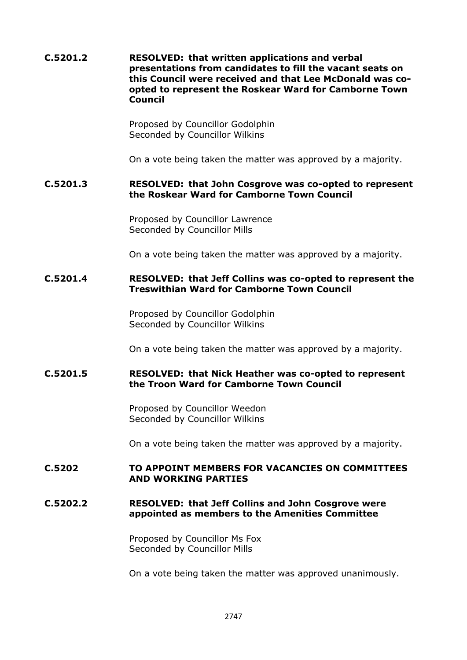**C.5201.2 RESOLVED: that written applications and verbal presentations from candidates to fill the vacant seats on this Council were received and that Lee McDonald was coopted to represent the Roskear Ward for Camborne Town Council**

> Proposed by Councillor Godolphin Seconded by Councillor Wilkins

On a vote being taken the matter was approved by a majority.

#### **C.5201.3 RESOLVED: that John Cosgrove was co-opted to represent the Roskear Ward for Camborne Town Council**

Proposed by Councillor Lawrence Seconded by Councillor Mills

On a vote being taken the matter was approved by a majority.

## **C.5201.4 RESOLVED: that Jeff Collins was co-opted to represent the Treswithian Ward for Camborne Town Council**

Proposed by Councillor Godolphin Seconded by Councillor Wilkins

On a vote being taken the matter was approved by a majority.

## **C.5201.5 RESOLVED: that Nick Heather was co-opted to represent the Troon Ward for Camborne Town Council**

Proposed by Councillor Weedon Seconded by Councillor Wilkins

On a vote being taken the matter was approved by a majority.

## **C.5202 TO APPOINT MEMBERS FOR VACANCIES ON COMMITTEES AND WORKING PARTIES**

## **C.5202.2 RESOLVED: that Jeff Collins and John Cosgrove were appointed as members to the Amenities Committee**

Proposed by Councillor Ms Fox Seconded by Councillor Mills

On a vote being taken the matter was approved unanimously.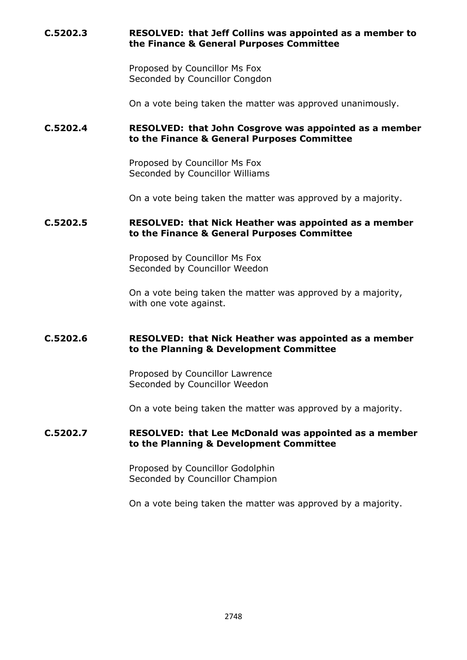# **C.5202.3 RESOLVED: that Jeff Collins was appointed as a member to the Finance & General Purposes Committee**

Proposed by Councillor Ms Fox Seconded by Councillor Congdon

On a vote being taken the matter was approved unanimously.

## **C.5202.4 RESOLVED: that John Cosgrove was appointed as a member to the Finance & General Purposes Committee**

Proposed by Councillor Ms Fox Seconded by Councillor Williams

On a vote being taken the matter was approved by a majority.

## **C.5202.5 RESOLVED: that Nick Heather was appointed as a member to the Finance & General Purposes Committee**

Proposed by Councillor Ms Fox Seconded by Councillor Weedon

On a vote being taken the matter was approved by a majority, with one vote against.

#### **C.5202.6 RESOLVED: that Nick Heather was appointed as a member to the Planning & Development Committee**

Proposed by Councillor Lawrence Seconded by Councillor Weedon

On a vote being taken the matter was approved by a majority.

## **C.5202.7 RESOLVED: that Lee McDonald was appointed as a member to the Planning & Development Committee**

Proposed by Councillor Godolphin Seconded by Councillor Champion

On a vote being taken the matter was approved by a majority.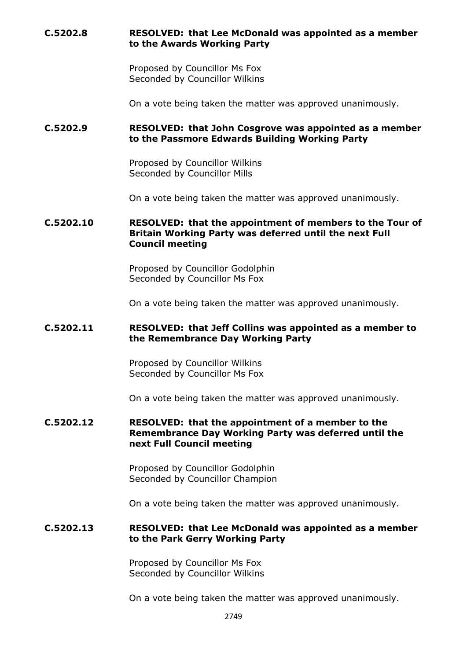## **C.5202.8 RESOLVED: that Lee McDonald was appointed as a member to the Awards Working Party**

Proposed by Councillor Ms Fox Seconded by Councillor Wilkins

On a vote being taken the matter was approved unanimously.

## **C.5202.9 RESOLVED: that John Cosgrove was appointed as a member to the Passmore Edwards Building Working Party**

Proposed by Councillor Wilkins Seconded by Councillor Mills

On a vote being taken the matter was approved unanimously.

## **C.5202.10 RESOLVED: that the appointment of members to the Tour of Britain Working Party was deferred until the next Full Council meeting**

Proposed by Councillor Godolphin Seconded by Councillor Ms Fox

On a vote being taken the matter was approved unanimously.

#### **C.5202.11 RESOLVED: that Jeff Collins was appointed as a member to the Remembrance Day Working Party**

Proposed by Councillor Wilkins Seconded by Councillor Ms Fox

On a vote being taken the matter was approved unanimously.

#### **C.5202.12 RESOLVED: that the appointment of a member to the Remembrance Day Working Party was deferred until the next Full Council meeting**

Proposed by Councillor Godolphin Seconded by Councillor Champion

On a vote being taken the matter was approved unanimously.

#### **C.5202.13 RESOLVED: that Lee McDonald was appointed as a member to the Park Gerry Working Party**

Proposed by Councillor Ms Fox Seconded by Councillor Wilkins

On a vote being taken the matter was approved unanimously.